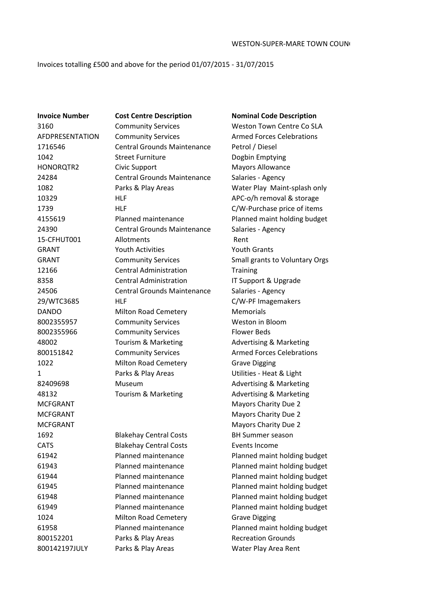Invoices totalling £500 and above for the period 01/07/2015 - 31/07/2015

**Invoice Number Cost Centre Description Nominal Code Description** 1024 Milton Road Cemetery Grave Digging 800152201 Parks & Play Areas Recreation Grounds

3160 Community Services Weston Town Centre Co SLA AFDPRESENTATION Community Services Armed Forces Celebrations 1716546 Central Grounds Maintenance Petrol / Diesel 1042 Street Furniture Dogbin Emptying HONORQTR2 Civic Support Mayors Allowance 24284 Central Grounds Maintenance Salaries - Agency 10329 HLF HILF APC-o/h removal & storage 1739 HLF C/W-Purchase price of items 24390 Central Grounds Maintenance Salaries - Agency 15-CFHUT001 Allotments Rent GRANT Youth Activities Youth Grants 12166 **Central Administration** Training 8358 **Central Administration** IT Support & Upgrade 24506 Central Grounds Maintenance Salaries - Agency 29/WTC3685 HLF C/W-PF Imagemakers DANDO Milton Road Cemetery Memorials 8002355957 Community Services Weston in Bloom 8002355966 Community Services Flower Beds 48002 Tourism & Marketing Advertising & Marketing 800151842 Community Services **Armed Forces Celebrations** 1022 Milton Road Cemetery Grave Digging 1 Parks & Play Areas Utilities - Heat & Light 82409698 Museum Museum Advertising & Marketing 48132 Tourism & Marketing Advertising & Marketing MCFGRANT Mayors Charity Due 2 MCFGRANT MORE CONTROLLER MAY MAY A MAYORS Charity Due 2 MCFGRANT Mayors Charity Due 2 1692 Blakehay Central Costs BH Summer season CATS Blakehay Central Costs Events Income

 Parks & Play Areas Water Play Maint-splash only Planned maintenance Planned maint holding budget GRANT Community Services Small grants to Voluntary Orgs Planned maintenance Planned maint holding budget Planned maintenance Planned maint holding budget Planned maintenance Planned maint holding budget Planned maintenance Planned maint holding budget Planned maintenance Planned maint holding budget Planned maintenance Planned maint holding budget Planned maintenance Planned maint holding budget 800142197JULY Parks & Play Areas Water Play Area Rent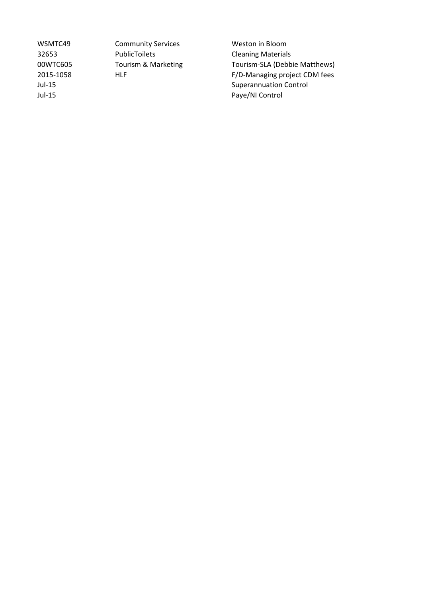WSMTC49 Community Services Weston in Bloom 32653 PublicToilets Cleaning Materials<br>
00WTC605 Tourism & Marketing Tourism-SLA (Debb

00WTC605 Tourism & Marketing Tourism-SLA (Debbie Matthews) 2015-1058 HLF HLF F/D-Managing project CDM fees Jul-15 Superannuation Control Jul-15 Paye/NI Control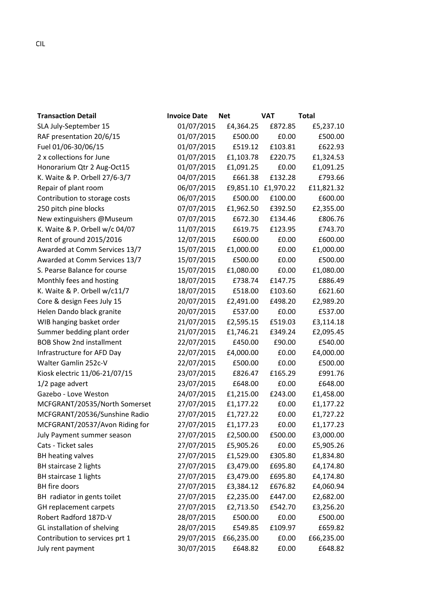| <b>Transaction Detail</b>       | <b>Invoice Date</b> | <b>Net</b> | <b>VAT</b> | <b>Total</b> |
|---------------------------------|---------------------|------------|------------|--------------|
| SLA July-September 15           | 01/07/2015          | £4,364.25  | £872.85    | £5,237.10    |
| RAF presentation 20/6/15        | 01/07/2015          | £500.00    | £0.00      | £500.00      |
| Fuel 01/06-30/06/15             | 01/07/2015          | £519.12    | £103.81    | £622.93      |
| 2 x collections for June        | 01/07/2015          | £1,103.78  | £220.75    | £1,324.53    |
| Honorarium Qtr 2 Aug-Oct15      | 01/07/2015          | £1,091.25  | £0.00      | £1,091.25    |
| K. Waite & P. Orbell 27/6-3/7   | 04/07/2015          | £661.38    | £132.28    | £793.66      |
| Repair of plant room            | 06/07/2015          | £9,851.10  | £1,970.22  | £11,821.32   |
| Contribution to storage costs   | 06/07/2015          | £500.00    | £100.00    | £600.00      |
| 250 pitch pine blocks           | 07/07/2015          | £1,962.50  | £392.50    | £2,355.00    |
| New extinguishers @Museum       | 07/07/2015          | £672.30    | £134.46    | £806.76      |
| K. Waite & P. Orbell w/c 04/07  | 11/07/2015          | £619.75    | £123.95    | £743.70      |
| Rent of ground 2015/2016        | 12/07/2015          | £600.00    | £0.00      | £600.00      |
| Awarded at Comm Services 13/7   | 15/07/2015          | £1,000.00  | £0.00      | £1,000.00    |
| Awarded at Comm Services 13/7   | 15/07/2015          | £500.00    | £0.00      | £500.00      |
| S. Pearse Balance for course    | 15/07/2015          | £1,080.00  | £0.00      | £1,080.00    |
| Monthly fees and hosting        | 18/07/2015          | £738.74    | £147.75    | £886.49      |
| K. Waite & P. Orbell w/c11/7    | 18/07/2015          | £518.00    | £103.60    | £621.60      |
| Core & design Fees July 15      | 20/07/2015          | £2,491.00  | £498.20    | £2,989.20    |
| Helen Dando black granite       | 20/07/2015          | £537.00    | £0.00      | £537.00      |
| WIB hanging basket order        | 21/07/2015          | £2,595.15  | £519.03    | £3,114.18    |
| Summer bedding plant order      | 21/07/2015          | £1,746.21  | £349.24    | £2,095.45    |
| <b>BOB Show 2nd installment</b> | 22/07/2015          | £450.00    | £90.00     | £540.00      |
| Infrastructure for AFD Day      | 22/07/2015          | £4,000.00  | £0.00      | £4,000.00    |
| Walter Gamlin 252c-V            | 22/07/2015          | £500.00    | £0.00      | £500.00      |
| Kiosk electric 11/06-21/07/15   | 23/07/2015          | £826.47    | £165.29    | £991.76      |
| 1/2 page advert                 | 23/07/2015          | £648.00    | £0.00      | £648.00      |
| Gazebo - Love Weston            | 24/07/2015          | £1,215.00  | £243.00    | £1,458.00    |
| MCFGRANT/20535/North Somerset   | 27/07/2015          | £1,177.22  | £0.00      | £1,177.22    |
| MCFGRANT/20536/Sunshine Radio   | 27/07/2015          | £1,727.22  | £0.00      | £1,727.22    |
| MCFGRANT/20537/Avon Riding for  | 27/07/2015          | £1,177.23  | £0.00      | £1,177.23    |
| July Payment summer season      | 27/07/2015          | £2,500.00  | £500.00    | £3,000.00    |
| Cats - Ticket sales             | 27/07/2015          | £5,905.26  | £0.00      | £5,905.26    |
| <b>BH</b> heating valves        | 27/07/2015          | £1,529.00  | £305.80    | £1,834.80    |
| BH staircase 2 lights           | 27/07/2015          | £3,479.00  | £695.80    | £4,174.80    |
| BH staircase 1 lights           | 27/07/2015          | £3,479.00  | £695.80    | £4,174.80    |
| BH fire doors                   | 27/07/2015          | £3,384.12  | £676.82    | £4,060.94    |
| BH radiator in gents toilet     | 27/07/2015          | £2,235.00  | £447.00    | £2,682.00    |
| GH replacement carpets          | 27/07/2015          | £2,713.50  | £542.70    | £3,256.20    |
| Robert Radford 187D-V           | 28/07/2015          | £500.00    | £0.00      | £500.00      |
| GL installation of shelving     | 28/07/2015          | £549.85    | £109.97    | £659.82      |
| Contribution to services prt 1  | 29/07/2015          | £66,235.00 | £0.00      | £66,235.00   |
| July rent payment               | 30/07/2015          | £648.82    | £0.00      | £648.82      |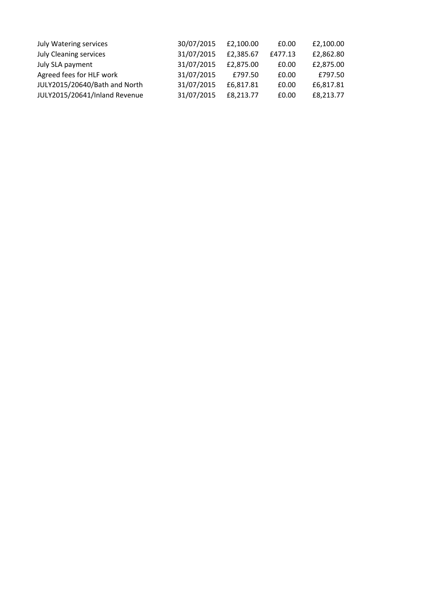| 30/07/2015 | £2,100.00 | £0.00   | £2,100.00 |
|------------|-----------|---------|-----------|
| 31/07/2015 | £2,385.67 | £477.13 | £2,862.80 |
| 31/07/2015 | £2,875.00 | £0.00   | £2,875.00 |
| 31/07/2015 | £797.50   | £0.00   | £797.50   |
| 31/07/2015 | £6,817.81 | £0.00   | £6,817.81 |
| 31/07/2015 | £8,213.77 | £0.00   | £8,213.77 |
|            |           |         |           |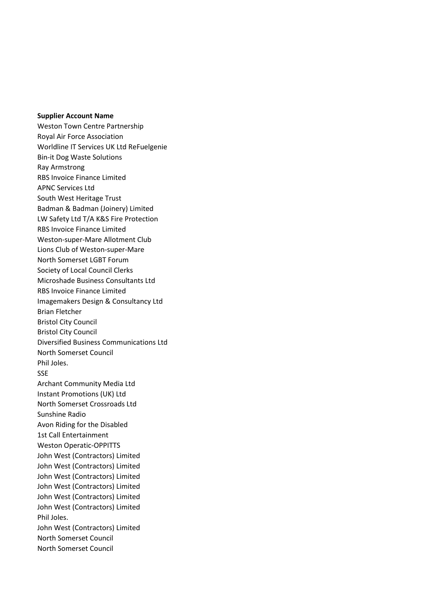## **Supplier Account Name**

Weston Town Centre Partnership Royal Air Force Association Worldline IT Services UK Ltd ReFuelgenie Bin-it Dog Waste Solutions Ray Armstrong RBS Invoice Finance Limited APNC Services Ltd South West Heritage Trust Badman & Badman (Joinery) Limited LW Safety Ltd T/A K&S Fire Protection RBS Invoice Finance Limited Weston-super-Mare Allotment Club Lions Club of Weston-super-Mare North Somerset LGBT Forum Society of Local Council Clerks Microshade Business Consultants Ltd RBS Invoice Finance Limited Imagemakers Design & Consultancy Ltd Brian Fletcher Bristol City Council Bristol City Council Diversified Business Communications Ltd North Somerset Council Phil Joles. SSE Archant Community Media Ltd Instant Promotions (UK) Ltd North Somerset Crossroads Ltd Sunshine Radio Avon Riding for the Disabled 1st Call Entertainment Weston Operatic-OPPITTS John West (Contractors) Limited John West (Contractors) Limited John West (Contractors) Limited John West (Contractors) Limited John West (Contractors) Limited John West (Contractors) Limited Phil Joles. John West (Contractors) Limited North Somerset Council North Somerset Council